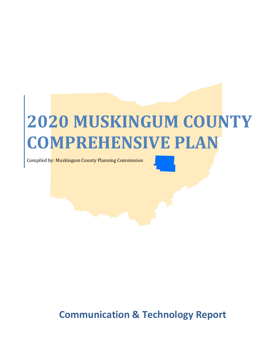# **2020 MUSKINGUM COUNTY COMPREHENSIVE PLAN**

Compiled by: Muskingum County Planning Commission

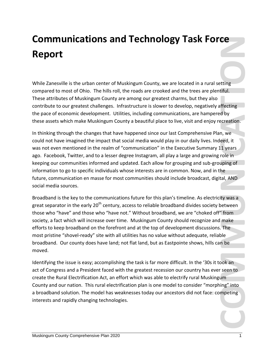## **Communications and Technology Task Force Report**

While Zanesville is the urban center of Muskingum County, we are located in a rural setting compared to most of Ohio. The hills roll, the roads are crooked and the trees are plentiful. These attributes of Muskingum County are among our greatest charms, but they also contribute to our greatest challenges. Infrastructure is slower to develop, negatively affecting the pace of economic development. Utilities, including communications, are hampered by these assets which make Muskingum County a beautiful place to live, visit and enjoy recreation.

**COMMUNICATIONS AND TECHNOMS (2020) TASK FOTCE**<br> **Report**<br> **Report**<br>
MATE: Zonessille is the urban conter of Muskingum County, we are located in a rural setting<br>
compared to most of Muskingum County are among our geotest In thinking through the changes that have happened since our last Comprehensive Plan, we could not have imagined the impact that social media would play in our daily lives. Indeed, it was not even mentioned in the realm of "communication" in the Executive Summary 11 years ago. Facebook, Twitter, and to a lesser degree Instagram, all play a large and growing role in keeping our communities informed and updated. Each allow for grouping and sub-grouping of information to go to specific individuals whose interests are in common. Now, and in the future, communication en masse for most communities should include broadcast, digital, AND social media sources.

Broadband is the key to the communications future for this plan's timeline. As electricity was a great separator in the early  $20<sup>th</sup>$  century, access to reliable broadband divides society between those who "have" and those who "have not." Without broadband, we are "choked off" from society, a fact which will increase over time. Muskingum County should recognize and make efforts to keep broadband on the forefront and at the top of development discussions. The most pristine "shovel-ready" site with all utilities has no value without adequate, reliable broadband. Our county does have land; not flat land, but as Eastpointe shows, hills can be moved.

Identifying the issue is easy; accomplishing the task is far more difficult. In the '30s it took an act of Congress and a President faced with the greatest recession our country has ever seen to create the Rural Electrification Act, an effort which was able to electrify rural Muskingum County and our nation. This rural electrification plan is one model to consider "morphing" into a broadband solution. The model has weaknesses today our ancestors did not face: competing interests and rapidly changing technologies.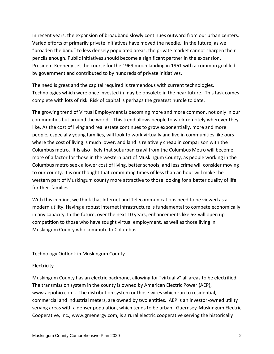In recent years, the expansion of broadband slowly continues outward from our urban centers. Varied efforts of primarily private initiatives have moved the needle. In the future, as we "broaden the band" to less densely populated areas, the private market cannot sharpen their pencils enough. Public initiatives should become a significant partner in the expansion. President Kennedy set the course for the 1969 moon landing in 1961 with a common goal led by government and contributed to by hundreds of private initiatives.

The need is great and the capital required is tremendous with current technologies. Technologies which were once invested in may be obsolete in the near future. This task comes complete with lots of risk. Risk of capital is perhaps the greatest hurdle to date.

The growing trend of Virtual Employment is becoming more and more common, not only in our communities but around the world. This trend allows people to work remotely wherever they like. As the cost of living and real estate continues to grow exponentially, more and more people, especially young families, will look to work virtually and live in communities like ours where the cost of living is much lower, and land is relatively cheap in comparison with the Columbus metro. It is also likely that suburban crawl from the Columbus Metro will become more of a factor for those in the western part of Muskingum County, as people working in the Columbus metro seek a lower cost of living, better schools, and less crime will consider moving to our county. It is our thought that commuting times of less than an hour will make the western part of Muskingum county more attractive to those looking for a better quality of life for their families.

With this in mind, we think that Internet and Telecommunications need to be viewed as a modern utility. Having a robust internet infrastructure is fundamental to compete economically in any capacity. In the future, over the next 10 years, enhancements like 5G will open up competition to those who have sought virtual employment, as well as those living in Muskingum County who commute to Columbus.

### Technology Outlook in Muskingum County

### Electricity

Muskingum County has an electric backbone, allowing for "virtually" all areas to be electrified. The transmission system in the county is owned by American Electric Power (AEP), www.aepohio.com . The distribution system or those wires which run to residential, commercial and industrial meters, are owned by two entities. AEP is an investor-owned utility serving areas with a denser population, which tends to be urban. Guernsey-Muskingum Electric Cooperative, Inc., www.gmenergy.com, is a rural electric cooperative serving the historically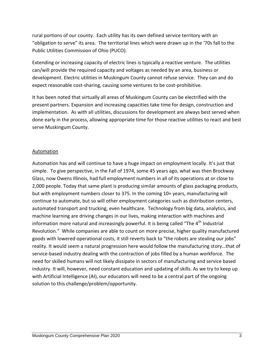rural portions of our county. Each utility has its own defined service territory with an "obligation to serve" its area. The territorial lines which were drawn up in the '70s fall to the Public Utilities Commission of Ohio (PUCO).

Extending or increasing capacity of electric lines is typically a reactive venture. The utilities can/will provide the required capacity and voltages as needed by an area, business or development. Electric utilities in Muskingum County cannot refuse service. They can and do expect reasonable cost-sharing, causing some ventures to be cost-prohibitive.

It has been noted that virtually all areas of Muskingum County can be electrified with the present partners. Expansion and increasing capacities take time for design, construction and implementation. As with all utilities, discussions for development are always best served when done early in the process, allowing appropriate time for those reactive utilities to react and best serve Muskingum County.

### Automation

Automation has and will continue to have a huge impact on employment locally. It's just that simple. To give perspective, in the Fall of 1974, some 45 years ago, what was then Brockway Glass, now Owens Illinois, had full employment numbers in all of its operations at or close to 2,000 people. Today that same plant is producing similar amounts of glass packaging products, but with employment numbers closer to 375. In the coming 10+ years, manufacturing will continue to automate, but so will other employment categories such as distribution centers, automated transport and trucking, even healthcare. Technology from big data, analytics, and machine learning are driving changes in our lives, making interaction with machines and information more natural and increasingly powerful. It is being called "The 4<sup>th</sup> Industrial Revolution." While companies are able to count on more precise, higher quality manufactured goods with lowered operational costs, it still reverts back to "the robots are stealing our jobs" reality. It would seem a natural progression here would follow the manufacturing story…that of service-based industry dealing with the contraction of jobs filled by a human workforce. The need for skilled humans will not likely dissipate in sectors of manufacturing and service based industry. It will, however, need constant education and updating of skills. As we try to keep up with Artificial Intelligence (AI), our educators will need to be a central part of the ongoing solution to this challenge/problem/opportunity.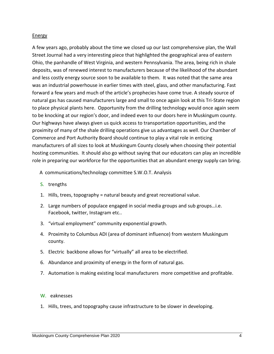#### Energy

A few years ago, probably about the time we closed up our last comprehensive plan, the Wall Street Journal had a very interesting piece that highlighted the geographical area of eastern Ohio, the panhandle of West Virginia, and western Pennsylvania. The area, being rich in shale deposits, was of renewed interest to manufacturers because of the likelihood of the abundant and less costly energy source soon to be available to them. It was noted that the same area was an industrial powerhouse in earlier times with steel, glass, and other manufacturing. Fast forward a few years and much of the article's prophecies have come true. A steady source of natural gas has caused manufacturers large and small to once again look at this Tri-State region to place physical plants here. Opportunity from the drilling technology would once again seem to be knocking at our region's door, and indeed even to our doors here in Muskingum county. Our highways have always given us quick access to transportation opportunities, and the proximity of many of the shale drilling operations give us advantages as well. Our Chamber of Commerce and Port Authority Board should continue to play a vital role in enticing manufacturers of all sizes to look at Muskingum County closely when choosing their potential hosting communities. It should also go without saying that our educators can play an incredible role in preparing our workforce for the opportunities that an abundant energy supply can bring.

- A communications/technology committee S.W.O.T. Analysis
- S. trengths
- 1. Hills, trees, topography = natural beauty and great recreational value.
- 2. Large numbers of populace engaged in social media groups and sub groups…i.e. Facebook, twitter, Instagram etc..
- 3. "virtual employment" community exponential growth.
- 4. Proximity to Columbus ADI (area of dominant influence) from western Muskingum county.
- 5. Electric backbone allows for "virtually" all area to be electrified.
- 6. Abundance and proximity of energy in the form of natural gas.
- 7. Automation is making existing local manufacturers more competitive and profitable.

#### W. eaknesses

1. Hills, trees, and topography cause infrastructure to be slower in developing.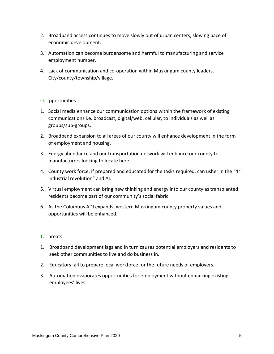- 2. Broadband access continues to move slowly out of urban centers, slowing pace of economic development.
- 3. Automation can become burdensome and harmful to manufacturing and service employment number.
- 4. Lack of communication and co-operation within Muskingum county leaders. City/county/township/village.

### O. pportunities

- 1. Social media enhance our communication options within the framework of existing communications i.e. broadcast, digital/web, cellular, to individuals as well as groups/sub-groups.
- 2. Broadband expansion to all areas of our county will enhance development in the form of employment and housing.
- 3. Energy abundance and our transportation network will enhance our county to manufacturers looking to locate here.
- 4. County work force, if prepared and educated for the tasks required, can usher in the "4<sup>th</sup> industrial revolution" and AI.
- 5. Virtual employment can bring new thinking and energy into our county as transplanted residents become part of our community's social fabric.
- 6. As the Columbus ADI expands, western Muskingum county property values and opportunities will be enhanced.

### T. hreats

- 1. Broadband development lags and in turn causes potential employers and residents to seek other communities to live and do business in.
- 2. Educators fail to prepare local workforce for the future needs of employers.
- 3. Automation evaporates opportunities for employment without enhancing existing employees' lives.